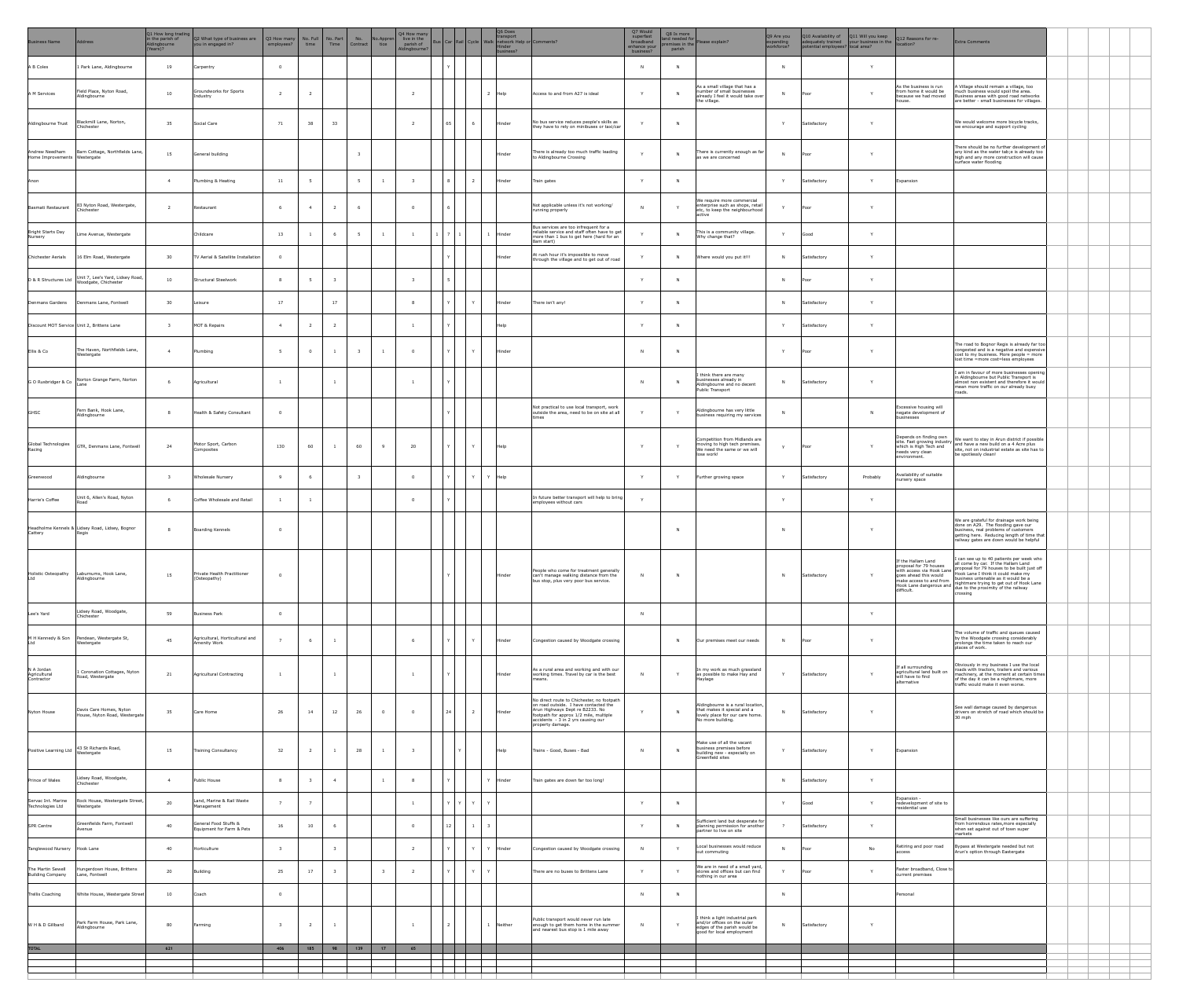| <b>Business Name</b>                                  | Address                                                                        | $ Q1$ How long trading<br>in the parish of<br>Aldingbourne<br>(Years)? | $\sqrt{Q}$ What type of business are<br>you in engaged in? |     |                          | Q3 How many   No. Full   No. Part   No.   No. Appren  <br>  employees?   time   Time   Contract   tice | $\vert$ Q4 How many $\vert$<br>live in the<br>parish of<br>Aldingbourr |                             | Q6 Does<br>transport<br>Bus   Car   Rail   Cycle   Walk  network Help or Comments?<br>business? |                                                                                                                                                                                                                                | Q7 Would<br>superfast<br>broadband<br>enhance your<br>business? | Q8 Is more<br>parish | land needed for<br>premises in the Please explain?                                                                          | Q9 Are you<br>expanding<br> workforce? |                        |              | Q10 Availability of $\begin{bmatrix} Q11 & W11 & Y00 & keep \  \text{adequately trained} & Y000 & Y001 & keep \end{bmatrix}$ adequately trained $\begin{bmatrix} Q12 & Reasons \  \text{d} & Q12 & Reasons \end{bmatrix}$ adequately trained $\begin{bmatrix} Q12 & Reasons \  \text{d} & Q12 & keea \end{bmatrix}$ | <b>Extra Comments</b>                                                                                                                                                                                                                                                                          |  |  |
|-------------------------------------------------------|--------------------------------------------------------------------------------|------------------------------------------------------------------------|------------------------------------------------------------|-----|--------------------------|--------------------------------------------------------------------------------------------------------|------------------------------------------------------------------------|-----------------------------|-------------------------------------------------------------------------------------------------|--------------------------------------------------------------------------------------------------------------------------------------------------------------------------------------------------------------------------------|-----------------------------------------------------------------|----------------------|-----------------------------------------------------------------------------------------------------------------------------|----------------------------------------|------------------------|--------------|---------------------------------------------------------------------------------------------------------------------------------------------------------------------------------------------------------------------------------------------------------------------------------------------------------------------|------------------------------------------------------------------------------------------------------------------------------------------------------------------------------------------------------------------------------------------------------------------------------------------------|--|--|
| A B Coles                                             | 1 Park Lane, Aldingbourne                                                      | 19                                                                     | Carpentry                                                  |     |                          |                                                                                                        |                                                                        | — <del>——————————————</del> |                                                                                                 |                                                                                                                                                                                                                                |                                                                 |                      |                                                                                                                             |                                        |                        |              |                                                                                                                                                                                                                                                                                                                     |                                                                                                                                                                                                                                                                                                |  |  |
| A M Services                                          | Field Place, Nyton Road,<br>Aldingbourne                                       | 10                                                                     | Groundworks for Sports<br>ndustry                          |     |                          |                                                                                                        |                                                                        |                             | $ He$ lp                                                                                        | Access to and from A27 is ideal                                                                                                                                                                                                |                                                                 |                      | As a small village that has a<br>number of small businesses<br>already I feel it would take over<br>the village.            |                                        | $\sqrt{\frac{1}{100}}$ |              | As the business is run<br>from home it would be<br>because we had moved<br> house.                                                                                                                                                                                                                                  | A Village should remain a village, too<br>much business would spoil the area.<br>Business areas with good road networks<br>are better - small businesses for villages.                                                                                                                         |  |  |
| Aldingbourne Trust                                    | Blackmill Lane, Norton<br>Chichester                                           | 35                                                                     | Social Care                                                |     | $\overline{2}$<br>၁၁     |                                                                                                        |                                                                        |                             | Hinder                                                                                          | No bus service reduces people's skills as<br>they have to rely on minibuses or taxi/car                                                                                                                                        |                                                                 |                      |                                                                                                                             |                                        | Satisfactory           |              |                                                                                                                                                                                                                                                                                                                     | We would welcome more bicycle tracks,<br>we encourage and support cycling                                                                                                                                                                                                                      |  |  |
|                                                       | Andrew Needham Barn Cottage, Northfields Lane,<br>Home Improvements Westergate | 15                                                                     | General building                                           |     |                          |                                                                                                        |                                                                        |                             | Hinder                                                                                          | There is already too much traffic leading<br>to Aldingbourne Crossing                                                                                                                                                          |                                                                 |                      | There is currently enough as far $ $<br>as we are concerned                                                                 |                                        | Poor                   |              |                                                                                                                                                                                                                                                                                                                     | There should be no further development of<br>any kind as the water tab; e is already too<br>high and any more construction will cause<br>surface water flooding                                                                                                                                |  |  |
| Anon                                                  |                                                                                |                                                                        | Plumbing & Heating                                         |     |                          |                                                                                                        |                                                                        | 8                           | Hinder                                                                                          | Train gates                                                                                                                                                                                                                    |                                                                 |                      |                                                                                                                             |                                        | Satisfactory           | $\mathsf{v}$ | Expansion                                                                                                                                                                                                                                                                                                           |                                                                                                                                                                                                                                                                                                |  |  |
| Basmati Restaurant                                    | 83 Nyton Road, Westergate,<br>Chichester                                       |                                                                        | Restaurant                                                 |     | $\sim$<br>$\overline{4}$ |                                                                                                        |                                                                        |                             |                                                                                                 | Not applicable unless it's not working/<br>running properly                                                                                                                                                                    |                                                                 |                      | We require more commercial<br>enterprise such as shops, retail<br>etc, to keep the neighbourhood                            |                                        | $ $ Poor               |              |                                                                                                                                                                                                                                                                                                                     |                                                                                                                                                                                                                                                                                                |  |  |
| Bright Starts Day<br>Nursery                          | Lime Avenue, Westergate                                                        |                                                                        | Childcare                                                  | 13  |                          |                                                                                                        |                                                                        | 7 1 1                       | 1  Hinder                                                                                       | Bus services are too infrequent for a<br>reliable service and staff often have to get<br>more than 1 bus to get here (hard for an<br>$\vert$ 8am start)                                                                        |                                                                 |                      | This is a community village.<br>Why change that?                                                                            |                                        | Good                   |              |                                                                                                                                                                                                                                                                                                                     |                                                                                                                                                                                                                                                                                                |  |  |
| Chichester Aerials                                    | 16 Elm Road, Westergate                                                        | 30                                                                     | TV Aerial & Satellite Installation $\vert$                 |     |                          |                                                                                                        |                                                                        |                             | Hinder                                                                                          | At rush hour it's impossible to move<br>through the village and to get out of road $\vert$                                                                                                                                     |                                                                 |                      | Where would you put it!!!                                                                                                   | - N                                    | Satisfactory           |              |                                                                                                                                                                                                                                                                                                                     |                                                                                                                                                                                                                                                                                                |  |  |
|                                                       | $\log R$ Structures Ltd $\log N$ , Lee's Yard, Lidsey Road,                    | 10                                                                     | Structural Steelwork                                       |     | $\sim$                   |                                                                                                        |                                                                        |                             |                                                                                                 |                                                                                                                                                                                                                                |                                                                 |                      |                                                                                                                             |                                        | <b>Poor</b>            |              |                                                                                                                                                                                                                                                                                                                     |                                                                                                                                                                                                                                                                                                |  |  |
| Denmans Gardens                                       | Denmans Lane, Fontwell                                                         | 30                                                                     | Leisure                                                    | 17  | 17                       |                                                                                                        |                                                                        | VI.                         | $\mathbf{v}$<br>Hinder                                                                          | There isn't any!                                                                                                                                                                                                               |                                                                 |                      |                                                                                                                             |                                        | Satisfactory           |              |                                                                                                                                                                                                                                                                                                                     |                                                                                                                                                                                                                                                                                                |  |  |
|                                                       | Discount MOT Service Unit 2, Brittens Lane                                     |                                                                        | MOT & Repairs                                              |     | $\sim$                   |                                                                                                        |                                                                        |                             | He                                                                                              |                                                                                                                                                                                                                                |                                                                 |                      |                                                                                                                             |                                        | Satisfactory           |              |                                                                                                                                                                                                                                                                                                                     |                                                                                                                                                                                                                                                                                                |  |  |
| Ellis & Co                                            | The Haven, Northfields Lane,<br>Westergate                                     |                                                                        | Plumbing                                                   |     | $\mathbf{1}$             |                                                                                                        |                                                                        | $\mathsf{Y}$                | $\mathsf{Y}$<br>Hinder                                                                          |                                                                                                                                                                                                                                |                                                                 |                      |                                                                                                                             |                                        | Poor                   |              |                                                                                                                                                                                                                                                                                                                     | The road to Bognor Regis is already far too<br>congested and is a negative and expensive<br>$\cos t$ to my business. More people = more<br>lost time =more cost=less employees                                                                                                                 |  |  |
|                                                       | IG O Rusbridger & Co Norton Grange Farm, Norton                                |                                                                        | Agricultural                                               |     |                          |                                                                                                        |                                                                        |                             |                                                                                                 |                                                                                                                                                                                                                                |                                                                 |                      | I think there are many<br>businesses already in<br>Aldingbourne and no decent<br>Public Transport                           |                                        | Satisfactory           |              |                                                                                                                                                                                                                                                                                                                     | I am in favour of more businesses opening<br>in Aldingbourne but Public Transport is<br>almost non existent and therefore it would  <br>mean more traffic on our already busy                                                                                                                  |  |  |
| <b>GHSC</b>                                           | Fern Bank, Hook Lane,<br>Aldingbourne                                          |                                                                        | Health & Safety Consultant                                 |     |                          |                                                                                                        |                                                                        |                             |                                                                                                 | Not practical to use local transport, work<br>outside the area, need to be on site at all<br>times                                                                                                                             |                                                                 |                      | Aldingbourne has very little<br>business requiring my services                                                              |                                        |                        |              | Excessive housing will<br>negate development of<br>businesses                                                                                                                                                                                                                                                       |                                                                                                                                                                                                                                                                                                |  |  |
| $\vert$ Racing                                        | $\vert$ Global Technologies $\vert$ GTR, Denmans Lane, Fontwell                | 24                                                                     | Motor Sport, Carbon<br>Composites                          | 130 | 60                       | 60                                                                                                     | 20                                                                     |                             | $\vee$<br> He                                                                                   |                                                                                                                                                                                                                                |                                                                 |                      | Competition from Midlands are<br>moving to high tech premises.<br>We need the same or we will<br>lose work!                 |                                        | Poor                   |              | Depends on finding own<br>site. Fast growing industry  '<br>which is High Tech and<br>needs very clean<br>environment                                                                                                                                                                                               | , We want to stay in Arun district if possible<br>and have a new build on a 4 Acre plus<br>site, not on industrial estate as site has to<br>be spotlessly clean!                                                                                                                               |  |  |
| Greenwood                                             | Aldingbourne                                                                   |                                                                        | Wholesale Nursery                                          |     |                          |                                                                                                        |                                                                        | VI.                         | $\mid$ Y $\mid$ Y $\mid$ Help                                                                   |                                                                                                                                                                                                                                |                                                                 |                      | Further growing space                                                                                                       |                                        | Satisfactory           | Probably     | Availability of suitable<br>nursery space                                                                                                                                                                                                                                                                           |                                                                                                                                                                                                                                                                                                |  |  |
| Harrie's Coffee                                       | Unit 6, Allen's Road, Nyton                                                    |                                                                        | Coffee Wholesale and Retail                                |     |                          |                                                                                                        |                                                                        |                             |                                                                                                 | In future better transport will help to bring  <br>employees without cars                                                                                                                                                      |                                                                 |                      |                                                                                                                             |                                        |                        |              |                                                                                                                                                                                                                                                                                                                     |                                                                                                                                                                                                                                                                                                |  |  |
| Cattery                                               | Headholme Kennels & Lidsey Road, Lidsey, Bognor                                |                                                                        | Boarding Kennels                                           |     |                          |                                                                                                        |                                                                        |                             |                                                                                                 |                                                                                                                                                                                                                                |                                                                 |                      |                                                                                                                             |                                        |                        |              |                                                                                                                                                                                                                                                                                                                     | We are grateful for drainage work being<br>done on A29. The flooding gave our<br>business, real problems of customers<br>getting here. Reducing length of time that<br>railway gates are down would be helpful                                                                                 |  |  |
|                                                       | Holistic Osteopathy   Laburnums, Hook Lane,<br> Ltd   Aldingbourne             | 15                                                                     | Private Health Practitioner<br>(Osteopathy)                |     |                          |                                                                                                        |                                                                        |                             | Hinder                                                                                          | People who come for treatment generally<br>can't manage walking distance from the<br>bus stop, plus very poor bus service.                                                                                                     |                                                                 |                      |                                                                                                                             |                                        | Satisfactory           |              | If the Hallam Land<br>proposal for 79 houses<br>with access via Hook Lane<br>goes ahead this would<br>make access to and from<br>Hook Lane dangerous and<br>difficult.<br>crossin                                                                                                                                   | I can see up to 40 patients per week who<br>all come by car. If the Hallam Land<br>proposal for 79 houses to be built just off<br>Hook Lane I think it could make my<br>business untenable as it would be a<br>nightmare trying to get out of Hook Lane<br>due to the proximity of the railway |  |  |
| Lee's Yard                                            | Lidsey Road, Woodgate,<br>Chichester                                           | 59                                                                     | Business Park                                              |     |                          |                                                                                                        |                                                                        |                             |                                                                                                 |                                                                                                                                                                                                                                |                                                                 |                      |                                                                                                                             |                                        |                        |              |                                                                                                                                                                                                                                                                                                                     |                                                                                                                                                                                                                                                                                                |  |  |
|                                                       | M H Kennedy & Son   Pendean, Westergate St,<br>Westergate                      | 45                                                                     | Agricultural, Horticultural and<br>Amenity Work            |     |                          |                                                                                                        |                                                                        |                             | Hinder                                                                                          | Congestion caused by Woodgate crossing                                                                                                                                                                                         |                                                                 |                      | Our premises meet our needs                                                                                                 |                                        | Poor                   |              |                                                                                                                                                                                                                                                                                                                     | The volume of traffic and queues caused<br>by the Woodgate crossing considerably<br>prolongs the time taken to reach our<br>places of work.                                                                                                                                                    |  |  |
| N A Jordan<br>Agricultural<br>Contractor              | 1 Coronation Cottages, Nyton<br>Road, Westergate                               | 21                                                                     | Agricultural Contracting                                   |     |                          |                                                                                                        |                                                                        |                             | Hinder                                                                                          | As a rural area and working and with our<br>working times. Travel by car is the best<br>means                                                                                                                                  |                                                                 |                      | n my work as much grassland<br>as possible to make Hay and<br>Haylage                                                       |                                        | Satisfactory           |              | If all surrounding<br>agricultural land built on<br>will have to find<br>alternative                                                                                                                                                                                                                                | Obviously in my business I use the local<br>roads with tractors, trailers and various<br> machinery, at the moment at certain times  <br>of the day it can be a nightmare, more<br>traffic would make it even worse.                                                                           |  |  |
| Nyton House                                           | Davis Care Homes, Nyton<br>House, Nyton Road, Westergate                       | 35                                                                     | Care Home                                                  | 26  | 12<br>14                 | $\sim$                                                                                                 |                                                                        | 24 L                        | Hinder                                                                                          | No direct route to Chichester, no footpath<br>on road outside. I have contacted the<br>Arun Highways Dept re B2233. No<br>footpath for approx 1/2 mile, multiple<br>$ $ accidents - 3 in 2 yrs causing our<br>property damage. |                                                                 |                      | Aldingbourne is a rural location,<br>that makes it special and a<br>lovely place for our care home.<br>No more building.    |                                        | Satisfactory           |              | $30$ mph                                                                                                                                                                                                                                                                                                            | See wall damage caused by dangerous<br>drivers on stretch of road which should be                                                                                                                                                                                                              |  |  |
|                                                       | Positive Learning Ltd 43 St Richards Road,                                     | 15                                                                     | Training Consultancy                                       | 32  |                          | 28                                                                                                     |                                                                        |                             | Help                                                                                            | Trains - Good, Buses - Bad                                                                                                                                                                                                     |                                                                 |                      | Make use of all the vacant<br>business premises before<br>building new - especially on<br>Greenfield sites                  |                                        | Satisfactory           |              | Expansion                                                                                                                                                                                                                                                                                                           |                                                                                                                                                                                                                                                                                                |  |  |
| Prince of Wales                                       | Lidsey Road, Woodgate,<br>Chichester                                           |                                                                        | Public House                                               |     | $\overline{A}$           |                                                                                                        |                                                                        |                             | Hinder                                                                                          | Train gates are down far too long!                                                                                                                                                                                             |                                                                 |                      |                                                                                                                             |                                        | Satisfactory           |              |                                                                                                                                                                                                                                                                                                                     |                                                                                                                                                                                                                                                                                                |  |  |
| Servac Int. Marine<br>Technologies Ltd                | Rock House, Westergate Street,<br>Westergate                                   | 20                                                                     | Land, Marine & Rail Waste<br>Management                    |     |                          |                                                                                                        |                                                                        |                             | 1 Y   Y   Y   Y                                                                                 |                                                                                                                                                                                                                                |                                                                 |                      |                                                                                                                             |                                        | Good                   |              | Expansion -<br>redevelopment of site to<br>residential use                                                                                                                                                                                                                                                          |                                                                                                                                                                                                                                                                                                |  |  |
| SPR Centre                                            | Greenfields Farm, Fontwell                                                     | 40                                                                     | General Food Stuffs &<br>Equipment for Farm & Pets         |     | 1 <sub>0</sub>           |                                                                                                        |                                                                        |                             |                                                                                                 |                                                                                                                                                                                                                                |                                                                 |                      | Sufficient land but desperate for<br>planning permission for another<br>partner to live on site                             |                                        | Satisfactory           |              | Imarkets                                                                                                                                                                                                                                                                                                            | Small businesses like ours are suffering<br>from horrendous rates, more especially<br>when set against out of town super                                                                                                                                                                       |  |  |
| Tanglewood Nursery   Hook Lane                        |                                                                                | 40                                                                     | Horticulture                                               |     | $\sim$                   |                                                                                                        |                                                                        | VI.                         | Y   Y  Hinder                                                                                   | Congestion caused by Woodgate crossing                                                                                                                                                                                         |                                                                 |                      | Local businesses would reduce<br>out commuting                                                                              |                                        | <b>Poor</b>            | <b>No</b>    | Retiring and poor road<br>laccess                                                                                                                                                                                                                                                                                   | Bypass at Westergate needed but not<br>Arun's option through Eastergate                                                                                                                                                                                                                        |  |  |
| The Martin Sewell<br>Building Company  Lane, Fontwell | Hungerdown House, Brittens                                                     | 20                                                                     | <b>Building</b>                                            | 25  | 17                       |                                                                                                        |                                                                        |                             | $Y \mid Y$                                                                                      | There are no buses to Brittens Lane                                                                                                                                                                                            |                                                                 |                      | We are in need of a small yard,<br>stores and offices but can find<br> nothing in our area                                  |                                        | Poor                   |              | Faster broadband, Close to<br>current premises                                                                                                                                                                                                                                                                      |                                                                                                                                                                                                                                                                                                |  |  |
| Trellis Coaching                                      | White House, Westergate Street                                                 | 10                                                                     | Coach                                                      |     |                          |                                                                                                        |                                                                        |                             |                                                                                                 |                                                                                                                                                                                                                                |                                                                 |                      |                                                                                                                             |                                        |                        |              | Personal                                                                                                                                                                                                                                                                                                            |                                                                                                                                                                                                                                                                                                |  |  |
| W H & D Gillbard                                      | Park Farm House, Park Lane,<br>Aldingbourne                                    | 80                                                                     | Farming                                                    |     |                          |                                                                                                        |                                                                        |                             | Neither                                                                                         | Public transport would never run late<br>enough to get them home in the summer<br>and nearest bus stop is 1 mile away                                                                                                          |                                                                 |                      | I think a light industrial park<br>and/or offices on the outer<br>edges of the parish would be<br>good for local employment |                                        | Satisfactory           |              |                                                                                                                                                                                                                                                                                                                     |                                                                                                                                                                                                                                                                                                |  |  |
| <b>TOTAL</b>                                          |                                                                                | 621                                                                    |                                                            | 406 | 185<br>98                | 139<br>17                                                                                              | 65                                                                     |                             |                                                                                                 |                                                                                                                                                                                                                                |                                                                 |                      |                                                                                                                             |                                        |                        |              |                                                                                                                                                                                                                                                                                                                     |                                                                                                                                                                                                                                                                                                |  |  |
|                                                       |                                                                                |                                                                        |                                                            |     |                          |                                                                                                        |                                                                        |                             |                                                                                                 |                                                                                                                                                                                                                                |                                                                 |                      |                                                                                                                             |                                        |                        |              |                                                                                                                                                                                                                                                                                                                     |                                                                                                                                                                                                                                                                                                |  |  |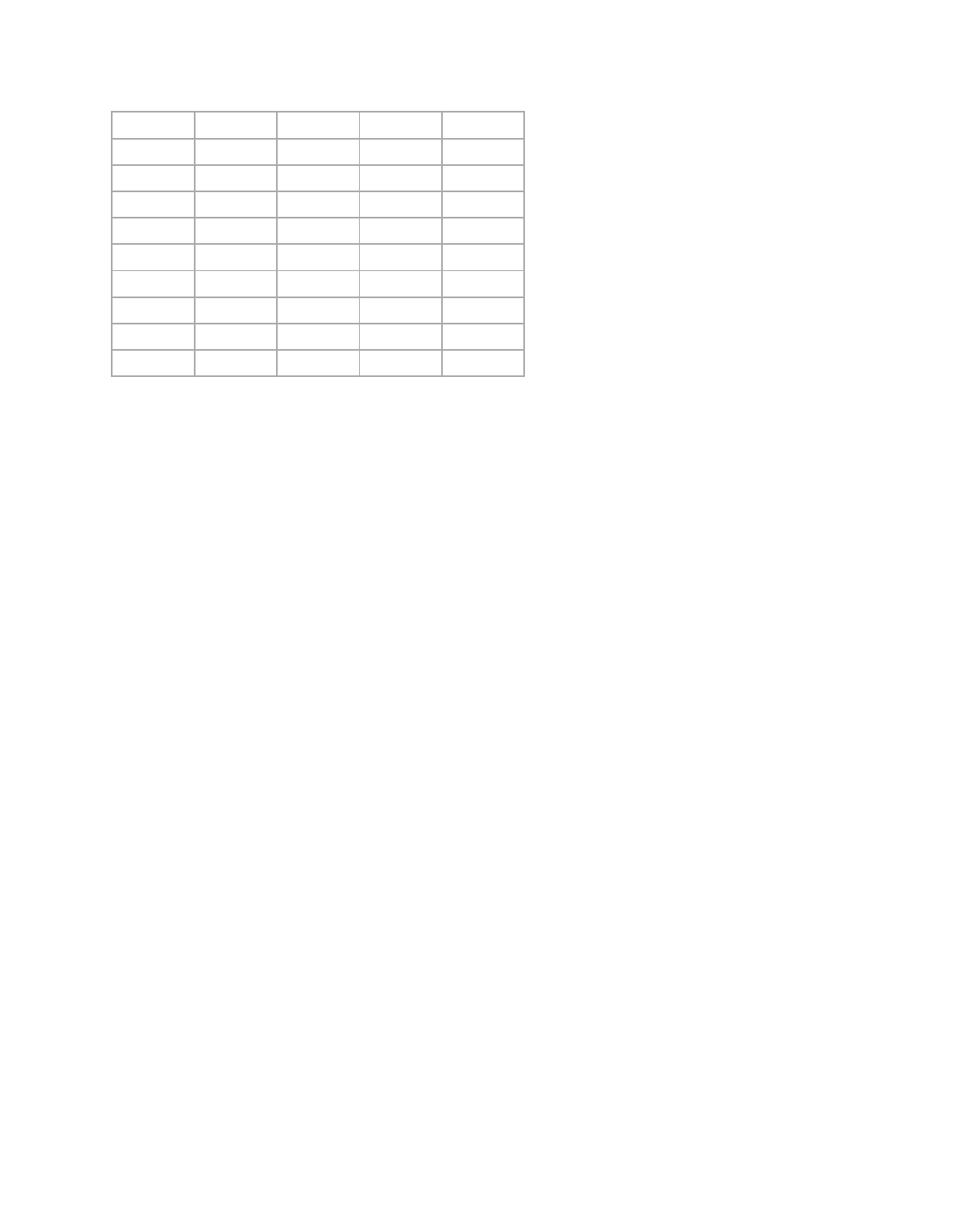|                                                             | the control of the control of the control of the control of                               | the control of the control of the control of the control of the control of                                      | the control of the control of the control of the control of |  |
|-------------------------------------------------------------|-------------------------------------------------------------------------------------------|-----------------------------------------------------------------------------------------------------------------|-------------------------------------------------------------|--|
|                                                             |                                                                                           |                                                                                                                 |                                                             |  |
| the control of the control of the control of the control of | the control of the control of the control of the control of the control of the control of | the control of the control of the control of the control of the control of                                      | the control of the control of the control of                |  |
|                                                             |                                                                                           |                                                                                                                 |                                                             |  |
|                                                             |                                                                                           | the contract of the contract of the contract of the contract of the contract of the contract of the contract of |                                                             |  |
|                                                             |                                                                                           | the control of the control of the control of the control of the control of                                      |                                                             |  |
|                                                             |                                                                                           |                                                                                                                 |                                                             |  |
|                                                             | the control of the control of the control of the control of                               | the control of the control of the control of the control of                                                     | the control of the control of the control of                |  |